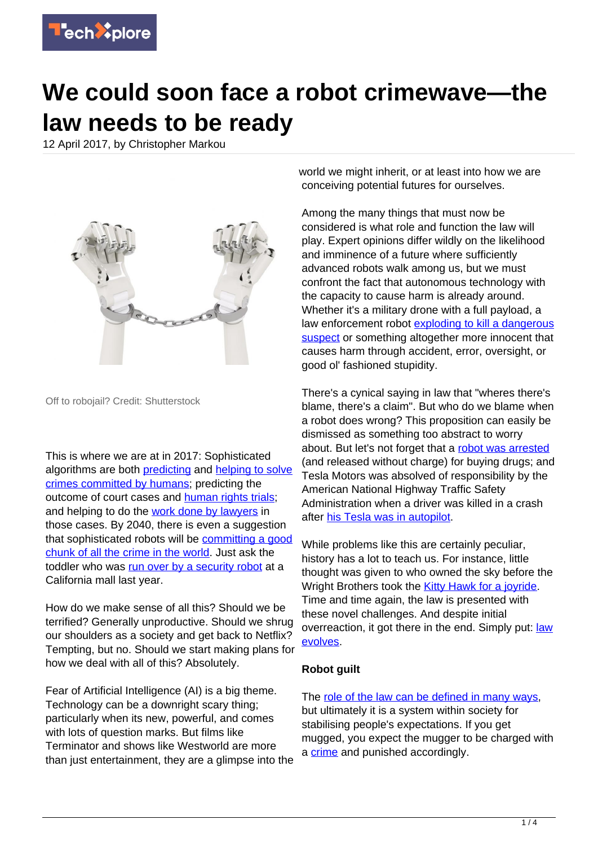

## **We could soon face a robot crimewave—the law needs to be ready**

12 April 2017, by Christopher Markou



Off to robojail? Credit: Shutterstock

This is where we are at in 2017: Sophisticated algorithms are both [predicting](https://www.technologyreview.com/s/532431/rise-of-the-robot-security-guards/) and [helping to solve](https://www.ft.com/content/55f3daf4-ee1a-11e6-ba01-119a44939bb6) [crimes committed by humans](https://www.ft.com/content/55f3daf4-ee1a-11e6-ba01-119a44939bb6); predicting the outcome of court cases and [human rights trials](https://www.ucl.ac.uk/news/news-articles/1016/241016-AI-predicts-outcomes-human-rights-trials): and helping to do the [work done by lawyers](https://www.ft.com/content/5d96dd72-83eb-11e6-8897-2359a58ac7a5) in those cases. By 2040, there is even a suggestion that sophisticated robots will be [committing a good](https://www.raconteur.net/business/is-future-cyber-crime-a-nightmare-scenario) [chunk of all the crime in the world.](https://www.raconteur.net/business/is-future-cyber-crime-a-nightmare-scenario) Just ask the toddler who was [run over by a security robot](https://www.technologyreview.com/s/532431/rise-of-the-robot-security-guards/) at a California mall last year.

How do we make sense of all this? Should we be terrified? Generally unproductive. Should we shrug our shoulders as a society and get back to Netflix? Tempting, but no. Should we start making plans for how we deal with all of this? Absolutely.

Fear of Artificial Intelligence (AI) is a big theme. Technology can be a downright scary thing; particularly when its new, powerful, and comes with lots of question marks. But films like Terminator and shows like Westworld are more than just entertainment, they are a glimpse into the

world we might inherit, or at least into how we are conceiving potential futures for ourselves.

Among the many things that must now be considered is what role and function the law will play. Expert opinions differ wildly on the likelihood and imminence of a future where sufficiently advanced robots walk among us, but we must confront the fact that autonomous technology with the capacity to cause harm is already around. Whether it's a military drone with a full payload, a law enforcement robot [exploding to kill a dangerous](https://www.theatlantic.com/news/archive/2016/07/dallas-police-robot/490478/) [suspect](https://www.theatlantic.com/news/archive/2016/07/dallas-police-robot/490478/) or something altogether more innocent that causes harm through accident, error, oversight, or good ol' fashioned stupidity.

There's a cynical saying in law that "wheres there's blame, there's a claim". But who do we blame when a robot does wrong? This proposition can easily be dismissed as something too abstract to worry about. But let's not forget that a [robot was arrested](https://www.theguardian.com/world/2015/apr/22/swiss-police-release-robot-random-darknet-shopper-ecstasy-deep-web) (and released without charge) for buying drugs; and Tesla Motors was absolved of responsibility by the American National Highway Traffic Safety Administration when a driver was killed in a crash after [his Tesla was in autopilot](https://www.wired.com/2017/01/probing-teslas-deadly-crash-feds-say-yay-self-driving/).

While problems like this are certainly peculiar, history has a lot to teach us. For instance, little thought was given to who owned the sky before the Wright Brothers took the **Kitty Hawk for a joyride**. Time and time again, the law is presented with these novel challenges. And despite initial overreaction, it got there in the end. Simply put: [law](https://www.cbr.cam.ac.uk/fileadmin/user_upload/centre-for-business-research/downloads/working-papers/wp424.pdf) [evolves.](https://www.cbr.cam.ac.uk/fileadmin/user_upload/centre-for-business-research/downloads/working-papers/wp424.pdf)

## **Robot guilt**

The [role of the law can be defined in many ways,](http://fs2.american.edu/dfagel/www/Class%20Readings/Hart/International%20Law%20Chapter%20From%20Concept%20of%20Law.pdf) but ultimately it is a system within society for stabilising people's expectations. If you get mugged, you expect the mugger to be charged with a [crime](https://techxplore.com/tags/crime/) and punished accordingly.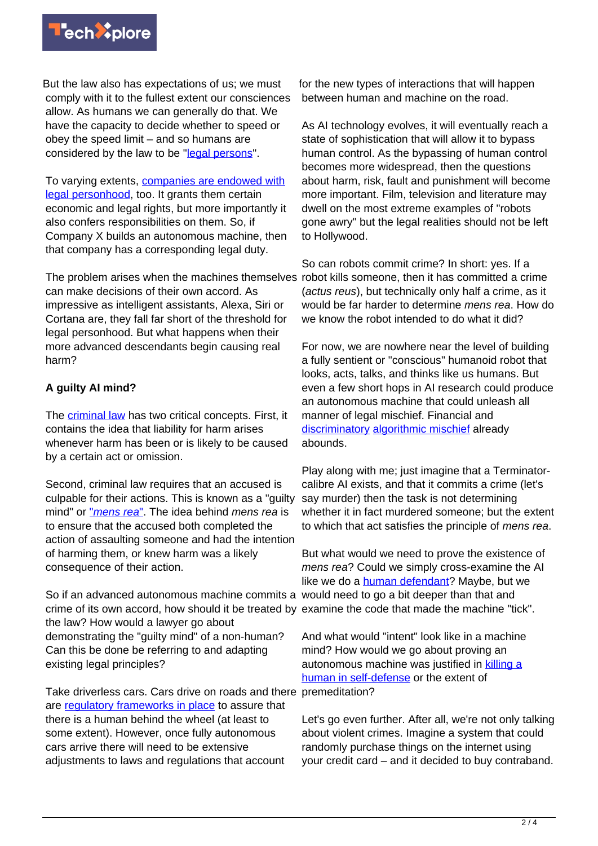

But the law also has expectations of us; we must comply with it to the fullest extent our consciences allow. As humans we can generally do that. We have the capacity to decide whether to speed or obey the speed limit – and so humans are considered by the law to be ["legal persons"](https://www.law.cornell.edu/wex/legal_person).

To varying extents, [companies are endowed with](https://www.cliffordchance.com/content/dam/cliffordchance/PDFs/Corporate_Liability_in_Europe.pdf) [legal personhood,](https://www.cliffordchance.com/content/dam/cliffordchance/PDFs/Corporate_Liability_in_Europe.pdf) too. It grants them certain economic and legal rights, but more importantly it also confers responsibilities on them. So, if Company X builds an autonomous machine, then that company has a corresponding legal duty.

The problem arises when the machines themselves robot kills someone, then it has committed a crime can make decisions of their own accord. As impressive as intelligent assistants, Alexa, Siri or Cortana are, they fall far short of the threshold for legal personhood. But what happens when their more advanced descendants begin causing real harm?

## **A guilty AI mind?**

The **criminal law** has two critical concepts. First, it contains the idea that liability for harm arises whenever harm has been or is likely to be caused by a certain act or omission.

Second, criminal law requires that an accused is culpable for their actions. This is known as a "guilty mind["](https://www.law.cornell.edu/wex/mens_rea) or "*[mens rea](https://www.law.cornell.edu/wex/mens_rea)*[".](https://www.law.cornell.edu/wex/mens_rea) The idea behind *mens rea* is to ensure that the accused both completed the action of assaulting someone and had the intention of harming them, or knew harm was a likely consequence of their action.

So if an advanced autonomous machine commits a would need to go a bit deeper than that and crime of its own accord, how should it be treated by examine the code that made the machine "tick". the law? How would a lawyer go about demonstrating the "guilty mind" of a non-human? Can this be done be referring to and adapting existing legal principles?

Take driverless cars. Cars drive on roads and there premeditation? are [regulatory frameworks in place](http://www.europarl.europa.eu/RegData/etudes/BRIE/2016/573902/EPRS_BRI(2016)573902_EN.pdf) to assure that there is a human behind the wheel (at least to some extent). However, once fully autonomous cars arrive there will need to be extensive adjustments to laws and regulations that account

for the new types of interactions that will happen between human and machine on the road.

As AI technology evolves, it will eventually reach a state of sophistication that will allow it to bypass human control. As the bypassing of human control becomes more widespread, then the questions about harm, risk, fault and punishment will become more important. Film, television and literature may dwell on the most extreme examples of "robots gone awry" but the legal realities should not be left to Hollywood.

So can robots commit crime? In short: yes. If a (actus reus), but technically only half a crime, as it would be far harder to determine mens rea. How do we know the robot intended to do what it did?

For now, we are nowhere near the level of building a fully sentient or "conscious" humanoid robot that looks, acts, talks, and thinks like us humans. But even a few short hops in AI research could produce an autonomous machine that could unleash all manner of legal mischief. Financial and [discriminatory](https://www.theguardian.com/technology/2016/dec/19/discrimination-by-algorithm-scientists-devise-test-to-detect-ai-bias) [algorithmic mischief](https://www.technologyreview.com/s/602586/algorithms-probably-caused-a-flash-crash-of-the-british-pound/) already abounds.

Play along with me; just imagine that a Terminatorcalibre AI exists, and that it commits a crime (let's say murder) then the task is not determining whether it in fact murdered someone; but the extent to which that act satisfies the principle of mens rea.

But what would we need to prove the existence of mens rea? Could we simply cross-examine the AI like we do a [human defendant](https://www.youtube.com/watch?v=bJF-IRbTh0Q)? Maybe, but we

And what would "intent" look like in a machine mind? How would we go about proving an autonomous machine was justified in [killing a](https://ase.tufts.edu/cogstud/dennett/papers/When_HAL_Kills.pdf) [human in self-defense](https://ase.tufts.edu/cogstud/dennett/papers/When_HAL_Kills.pdf) or the extent of

Let's go even further. After all, we're not only talking about violent crimes. Imagine a system that could randomly purchase things on the internet using your credit card – and it decided to buy contraband.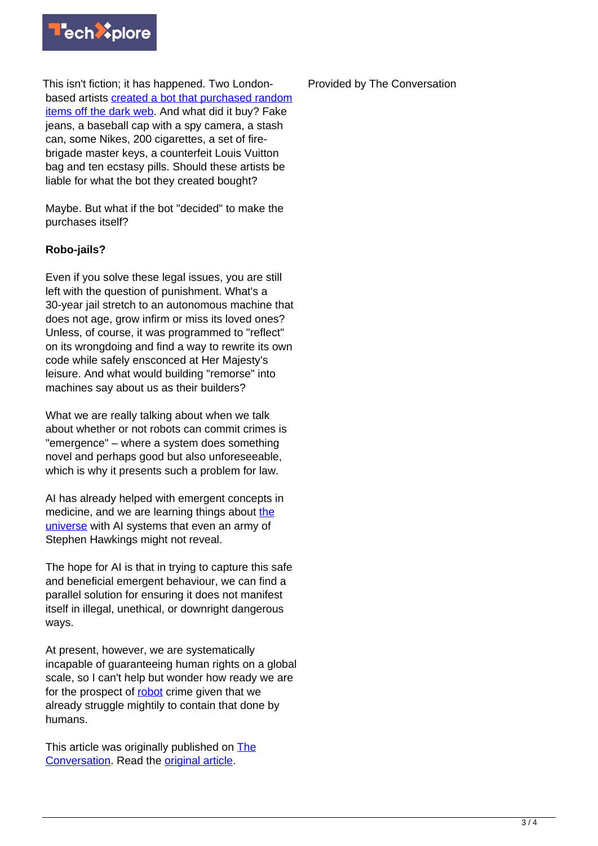

This isn't fiction; it has happened. Two Londonbased artists [created a bot that purchased random](https://www.theguardian.com/technology/2014/dec/05/software-bot-darknet-shopping-spree-random-shopper) items off the dark web</u>. And what did it buy? Fake jeans, a baseball cap with a spy camera, a stash can, some Nikes, 200 cigarettes, a set of firebrigade master keys, a counterfeit Louis Vuitton bag and ten ecstasy pills. Should these artists be liable for what the bot they created bought?

Maybe. But what if the bot "decided" to make the purchases itself?

## **Robo-jails?**

Even if you solve these legal issues, you are still left with the question of punishment. What's a 30-year jail stretch to an autonomous machine that does not age, grow infirm or miss its loved ones? Unless, of course, it was programmed to "reflect" on its wrongdoing and find a way to rewrite its own code while safely ensconced at Her Majesty's leisure. And what would building "remorse" into machines say about us as their builders?

What we are really talking about when we talk about whether or not robots can commit crimes is "emergence" – where a system does something novel and perhaps good but also unforeseeable, which is why it presents such a problem for law.

AI has already helped with emergent concepts in medicine, and we are learning things about [the](http://www.popsci.com/how-scientists-will-use-artificial-intelligence-to-find-aliens) [universe](http://www.popsci.com/how-scientists-will-use-artificial-intelligence-to-find-aliens) with AI systems that even an army of Stephen Hawkings might not reveal.

The hope for AI is that in trying to capture this safe and beneficial emergent behaviour, we can find a parallel solution for ensuring it does not manifest itself in illegal, unethical, or downright dangerous ways.

At present, however, we are systematically incapable of guaranteeing human rights on a global scale, so I can't help but wonder how ready we are for the prospect of [robot](https://techxplore.com/tags/robot/) crime given that we already struggle mightily to contain that done by humans.

This article was originally published on [The](http://theconversation.com) [Conversation](http://theconversation.com). Read the [original article.](https://theconversation.com/we-could-soon-face-a-robot-crimewave-the-law-needs-to-be-ready-75276)

Provided by The Conversation